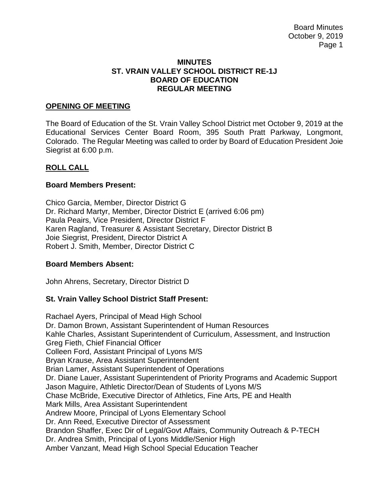Board Minutes October 9, 2019 Page 1

#### **MINUTES ST. VRAIN VALLEY SCHOOL DISTRICT RE-1J BOARD OF EDUCATION REGULAR MEETING**

#### **OPENING OF MEETING**

The Board of Education of the St. Vrain Valley School District met October 9, 2019 at the Educational Services Center Board Room, 395 South Pratt Parkway, Longmont, Colorado. The Regular Meeting was called to order by Board of Education President Joie Siegrist at 6:00 p.m.

#### **ROLL CALL**

#### **Board Members Present:**

Chico Garcia, Member, Director District G Dr. Richard Martyr, Member, Director District E (arrived 6:06 pm) Paula Peairs, Vice President, Director District F Karen Ragland, Treasurer & Assistant Secretary, Director District B Joie Siegrist, President, Director District A Robert J. Smith, Member, Director District C

#### **Board Members Absent:**

John Ahrens, Secretary, Director District D

### **St. Vrain Valley School District Staff Present:**

Rachael Ayers, Principal of Mead High School Dr. Damon Brown, Assistant Superintendent of Human Resources Kahle Charles, Assistant Superintendent of Curriculum, Assessment, and Instruction Greg Fieth, Chief Financial Officer Colleen Ford, Assistant Principal of Lyons M/S Bryan Krause, Area Assistant Superintendent Brian Lamer, Assistant Superintendent of Operations Dr. Diane Lauer, Assistant Superintendent of Priority Programs and Academic Support Jason Maguire, Athletic Director/Dean of Students of Lyons M/S Chase McBride, Executive Director of Athletics, Fine Arts, PE and Health Mark Mills, Area Assistant Superintendent Andrew Moore, Principal of Lyons Elementary School Dr. Ann Reed, Executive Director of Assessment Brandon Shaffer, Exec Dir of Legal/Govt Affairs, Community Outreach & P-TECH Dr. Andrea Smith, Principal of Lyons Middle/Senior High Amber Vanzant, Mead High School Special Education Teacher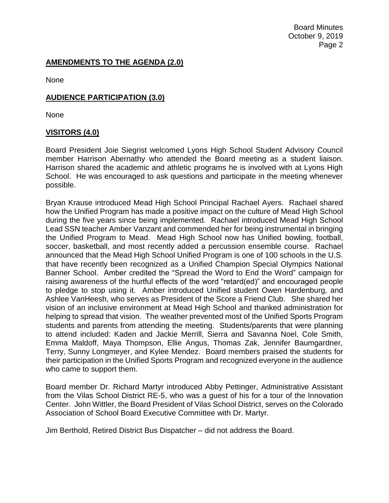Board Minutes October 9, 2019 Page 2

# **AMENDMENTS TO THE AGENDA (2.0)**

None

### **AUDIENCE PARTICIPATION (3.0)**

None

# **VISITORS (4.0)**

Board President Joie Siegrist welcomed Lyons High School Student Advisory Council member Harrison Abernathy who attended the Board meeting as a student liaison. Harrison shared the academic and athletic programs he is involved with at Lyons High School. He was encouraged to ask questions and participate in the meeting whenever possible.

Bryan Krause introduced Mead High School Principal Rachael Ayers. Rachael shared how the Unified Program has made a positive impact on the culture of Mead High School during the five years since being implemented. Rachael introduced Mead High School Lead SSN teacher Amber Vanzant and commended her for being instrumental in bringing the Unified Program to Mead. Mead High School now has Unified bowling, football, soccer, basketball, and most recently added a percussion ensemble course. Rachael announced that the Mead High School Unified Program is one of 100 schools in the U.S. that have recently been recognized as a Unified Champion Special Olympics National Banner School. Amber credited the "Spread the Word to End the Word" campaign for raising awareness of the hurtful effects of the word "retard(ed)" and encouraged people to pledge to stop using it. Amber introduced Unified student Owen Hardenburg, and Ashlee VanHeesh, who serves as President of the Score a Friend Club. She shared her vision of an inclusive environment at Mead High School and thanked administration for helping to spread that vision. The weather prevented most of the Unified Sports Program students and parents from attending the meeting. Students/parents that were planning to attend included: Kaden and Jackie Merrill, Sierra and Savanna Noel, Cole Smith, Emma Maldoff, Maya Thompson, Ellie Angus, Thomas Zak, Jennifer Baumgardner, Terry, Sunny Longmeyer, and Kylee Mendez. Board members praised the students for their participation in the Unified Sports Program and recognized everyone in the audience who came to support them.

Board member Dr. Richard Martyr introduced Abby Pettinger, Administrative Assistant from the Vilas School District RE-5, who was a guest of his for a tour of the Innovation Center. John Wittler, the Board President of Vilas School District, serves on the Colorado Association of School Board Executive Committee with Dr. Martyr.

Jim Berthold, Retired District Bus Dispatcher – did not address the Board.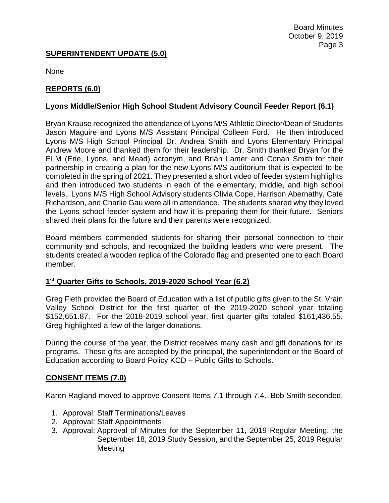### **SUPERINTENDENT UPDATE (5.0)**

None

# **REPORTS (6.0)**

### **Lyons Middle/Senior High School Student Advisory Council Feeder Report (6.1)**

Bryan Krause recognized the attendance of Lyons M/S Athletic Director/Dean of Students Jason Maguire and Lyons M/S Assistant Principal Colleen Ford. He then introduced Lyons M/S High School Principal Dr. Andrea Smith and Lyons Elementary Principal Andrew Moore and thanked them for their leadership. Dr. Smith thanked Bryan for the ELM (Erie, Lyons, and Mead) acronym, and Brian Lamer and Conan Smith for their partnership in creating a plan for the new Lyons M/S auditorium that is expected to be completed in the spring of 2021. They presented a short video of feeder system highlights and then introduced two students in each of the elementary, middle, and high school levels. Lyons M/S High School Advisory students Olivia Cope, Harrison Abernathy, Cate Richardson, and Charlie Gau were all in attendance. The students shared why they loved the Lyons school feeder system and how it is preparing them for their future. Seniors shared their plans for the future and their parents were recognized.

Board members commended students for sharing their personal connection to their community and schools, and recognized the building leaders who were present. The students created a wooden replica of the Colorado flag and presented one to each Board member.

### **1 st Quarter Gifts to Schools, 2019-2020 School Year (6.2)**

Greg Fieth provided the Board of Education with a list of public gifts given to the St. Vrain Valley School District for the first quarter of the 2019-2020 school year totaling \$152,651.87. For the 2018-2019 school year, first quarter gifts totaled \$161,436.55. Greg highlighted a few of the larger donations.

During the course of the year, the District receives many cash and gift donations for its programs. These gifts are accepted by the principal, the superintendent or the Board of Education according to Board Policy KCD – Public Gifts to Schools.

### **CONSENT ITEMS (7.0)**

Karen Ragland moved to approve Consent Items 7.1 through 7.4. Bob Smith seconded.

- 1. Approval: Staff Terminations/Leaves
- 2. Approval: Staff Appointments
- 3. Approval: Approval of Minutes for the September 11, 2019 Regular Meeting, the September 18, 2019 Study Session, and the September 25, 2019 Regular Meeting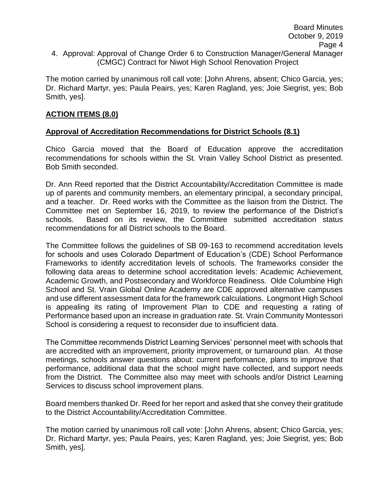The motion carried by unanimous roll call vote: [John Ahrens, absent; Chico Garcia, yes; Dr. Richard Martyr, yes; Paula Peairs, yes; Karen Ragland, yes; Joie Siegrist, yes; Bob Smith, yes].

# **ACTION ITEMS (8.0)**

# **Approval of Accreditation Recommendations for District Schools (8.1)**

Chico Garcia moved that the Board of Education approve the accreditation recommendations for schools within the St. Vrain Valley School District as presented. Bob Smith seconded.

Dr. Ann Reed reported that the District Accountability/Accreditation Committee is made up of parents and community members, an elementary principal, a secondary principal, and a teacher. Dr. Reed works with the Committee as the liaison from the District. The Committee met on September 16, 2019, to review the performance of the District's schools. Based on its review, the Committee submitted accreditation status recommendations for all District schools to the Board.

The Committee follows the guidelines of SB 09-163 to recommend accreditation levels for schools and uses Colorado Department of Education's (CDE) School Performance Frameworks to identify accreditation levels of schools. The frameworks consider the following data areas to determine school accreditation levels: Academic Achievement, Academic Growth, and Postsecondary and Workforce Readiness. Olde Columbine High School and St. Vrain Global Online Academy are CDE approved alternative campuses and use different assessment data for the framework calculations. Longmont High School is appealing its rating of Improvement Plan to CDE and requesting a rating of Performance based upon an increase in graduation rate. St. Vrain Community Montessori School is considering a request to reconsider due to insufficient data.

The Committee recommends District Learning Services' personnel meet with schools that are accredited with an improvement, priority improvement, or turnaround plan. At those meetings, schools answer questions about: current performance, plans to improve that performance, additional data that the school might have collected, and support needs from the District. The Committee also may meet with schools and/or District Learning Services to discuss school improvement plans.

Board members thanked Dr. Reed for her report and asked that she convey their gratitude to the District Accountability/Accreditation Committee.

The motion carried by unanimous roll call vote: [John Ahrens, absent; Chico Garcia, yes; Dr. Richard Martyr, yes; Paula Peairs, yes; Karen Ragland, yes; Joie Siegrist, yes; Bob Smith, yes].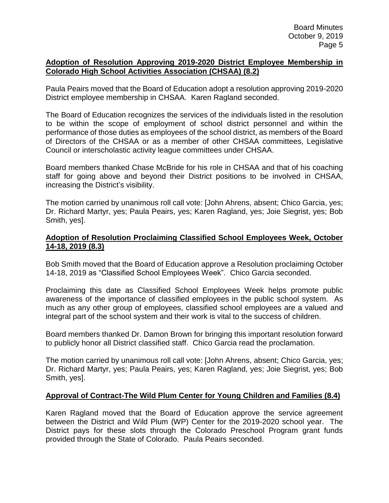#### **Adoption of Resolution Approving 2019-2020 District Employee Membership in Colorado High School Activities Association (CHSAA) (8.2)**

Paula Peairs moved that the Board of Education adopt a resolution approving 2019-2020 District employee membership in CHSAA. Karen Ragland seconded.

The Board of Education recognizes the services of the individuals listed in the resolution to be within the scope of employment of school district personnel and within the performance of those duties as employees of the school district, as members of the Board of Directors of the CHSAA or as a member of other CHSAA committees, Legislative Council or interscholastic activity league committees under CHSAA.

Board members thanked Chase McBride for his role in CHSAA and that of his coaching staff for going above and beyond their District positions to be involved in CHSAA, increasing the District's visibility.

The motion carried by unanimous roll call vote: [John Ahrens, absent; Chico Garcia, yes; Dr. Richard Martyr, yes; Paula Peairs, yes; Karen Ragland, yes; Joie Siegrist, yes; Bob Smith, yes].

### **Adoption of Resolution Proclaiming Classified School Employees Week, October 14-18, 2019 (8.3)**

Bob Smith moved that the Board of Education approve a Resolution proclaiming October 14-18, 2019 as "Classified School Employees Week". Chico Garcia seconded.

Proclaiming this date as Classified School Employees Week helps promote public awareness of the importance of classified employees in the public school system. As much as any other group of employees, classified school employees are a valued and integral part of the school system and their work is vital to the success of children.

Board members thanked Dr. Damon Brown for bringing this important resolution forward to publicly honor all District classified staff. Chico Garcia read the proclamation.

The motion carried by unanimous roll call vote: [John Ahrens, absent; Chico Garcia, yes; Dr. Richard Martyr, yes; Paula Peairs, yes; Karen Ragland, yes; Joie Siegrist, yes; Bob Smith, yes].

# **Approval of Contract-The Wild Plum Center for Young Children and Families (8.4)**

Karen Ragland moved that the Board of Education approve the service agreement between the District and Wild Plum (WP) Center for the 2019-2020 school year. The District pays for these slots through the Colorado Preschool Program grant funds provided through the State of Colorado. Paula Peairs seconded.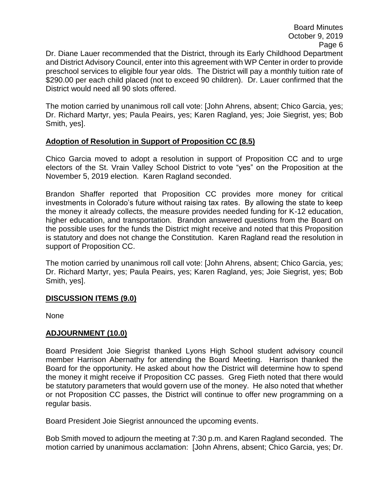Board Minutes October 9, 2019 Page 6

Dr. Diane Lauer recommended that the District, through its Early Childhood Department and District Advisory Council, enter into this agreement with WP Center in order to provide preschool services to eligible four year olds. The District will pay a monthly tuition rate of \$290.00 per each child placed (not to exceed 90 children). Dr. Lauer confirmed that the District would need all 90 slots offered.

The motion carried by unanimous roll call vote: [John Ahrens, absent; Chico Garcia, yes; Dr. Richard Martyr, yes; Paula Peairs, yes; Karen Ragland, yes; Joie Siegrist, yes; Bob Smith, yes].

### **Adoption of Resolution in Support of Proposition CC (8.5)**

Chico Garcia moved to adopt a resolution in support of Proposition CC and to urge electors of the St. Vrain Valley School District to vote "yes" on the Proposition at the November 5, 2019 election. Karen Ragland seconded.

Brandon Shaffer reported that Proposition CC provides more money for critical investments in Colorado's future without raising tax rates. By allowing the state to keep the money it already collects, the measure provides needed funding for K-12 education, higher education, and transportation. Brandon answered questions from the Board on the possible uses for the funds the District might receive and noted that this Proposition is statutory and does not change the Constitution. Karen Ragland read the resolution in support of Proposition CC.

The motion carried by unanimous roll call vote: [John Ahrens, absent; Chico Garcia, yes; Dr. Richard Martyr, yes; Paula Peairs, yes; Karen Ragland, yes; Joie Siegrist, yes; Bob Smith, yes].

### **DISCUSSION ITEMS (9.0)**

None

### **ADJOURNMENT (10.0)**

Board President Joie Siegrist thanked Lyons High School student advisory council member Harrison Abernathy for attending the Board Meeting. Harrison thanked the Board for the opportunity. He asked about how the District will determine how to spend the money it might receive if Proposition CC passes. Greg Fieth noted that there would be statutory parameters that would govern use of the money. He also noted that whether or not Proposition CC passes, the District will continue to offer new programming on a regular basis.

Board President Joie Siegrist announced the upcoming events.

Bob Smith moved to adjourn the meeting at 7:30 p.m. and Karen Ragland seconded. The motion carried by unanimous acclamation: [John Ahrens, absent; Chico Garcia, yes; Dr.